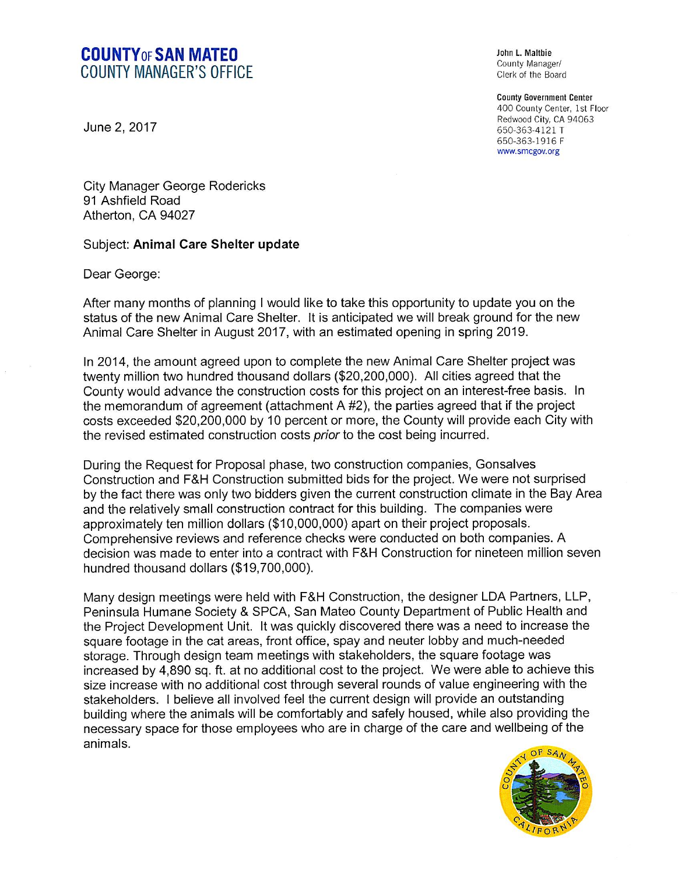## COUNTYOFSAN MATEO COUNTY MANAGER'S OFFICE

June 2, 2017

John L. Maltbie County Manager/ Clerk of the Board

County Government Center 400 County Center, 1st Floor Redwood City, CA 94063 650-363-4121 T 650-363-1916 F www.smcgov.org

City Manager George Rodericks 91 Ashfield Road Atherton, CA 94027

## Subject: Animal Care Shelter update

Dear George:

After many months of planning I would like to take this opportunity to update you on the status of the new Animal Care Shelter. It is anticipated we will break ground for the new Animal Care Shelter in August 2017, with an estimated opening in spring 2019.

In 2014, the amount agreed upon to complete the new Animal Care Shelter project was twenty million two hundred thousand dollars (\$20,200,000). All cities agreed that the County would advance the construction costs for this project on an interest-free basis. In the memorandum of agreement (attachment A #2), the parties agreed that if the project costs exceeded \$20,200,000 by 10 percent or more, the County will provide each City with the revised estimated construction costs *prior* to the cost being incurred.

During the Request for Proposal phase, two construction companies, Gonsalves Construction and F&H Construction submitted bids for the project. We were not surprised by the fact there was only two bidders given the current construction climate in the Bay Area and the relatively small construction contract for this building. The companies were approximately ten million dollars (\$10,000,000) apart on their project proposals. Comprehensive reviews and reference checks were conducted on both companies. A decision was made to enter into a contract with F&H Construction for nineteen million seven hundred thousand dollars (\$19,700,000).

Many design meetings were held with F&H Construction, the designer LDA Partners, LLP, Peninsula Humane Society & SPCA, San Mateo County Department of Public Health and the Project Development Unit. It was quickly discovered there was a need to increase the square footage in the cat areas, front office, spay and neuter lobby and much-needed storage. Through design team meetings with stakeholders, the square footage was increased by 4,890 sq. ft. at no additional cost to the project. We were able to achieve this size increase with no additional cost through several rounds of value engineering with the stakeholders. I believe all involved feel the current design will provide an outstanding building where the animals will be comfortably and safely housed, while also providing the necessary space for those employees who are in charge of the care and wellbeing of the animals.